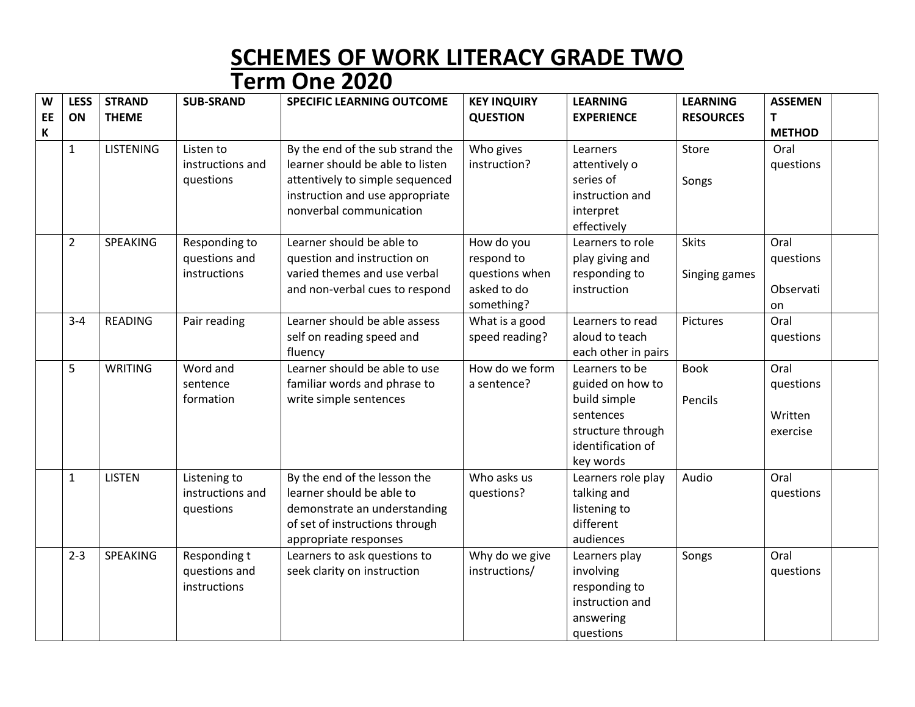## **SCHEMES OF WORK LITERACY GRADE TWO Term One 2020**

| W<br>EE | <b>LESS</b><br>ON | <b>STRAND</b><br><b>THEME</b> | <b>SUB-SRAND</b> | <b>SPECIFIC LEARNING OUTCOME</b> | <b>KEY INQUIRY</b><br><b>QUESTION</b> | <b>LEARNING</b><br><b>EXPERIENCE</b> | <b>LEARNING</b><br><b>RESOURCES</b> | <b>ASSEMEN</b><br>$\mathsf{T}$ |  |
|---------|-------------------|-------------------------------|------------------|----------------------------------|---------------------------------------|--------------------------------------|-------------------------------------|--------------------------------|--|
| К       |                   |                               |                  |                                  |                                       |                                      |                                     | <b>METHOD</b>                  |  |
|         | $\mathbf{1}$      | <b>LISTENING</b>              | Listen to        | By the end of the sub strand the | Who gives                             | Learners                             | Store                               | Oral                           |  |
|         |                   |                               | instructions and | learner should be able to listen | instruction?                          | attentively o                        |                                     | questions                      |  |
|         |                   |                               | questions        | attentively to simple sequenced  |                                       | series of                            | Songs                               |                                |  |
|         |                   |                               |                  | instruction and use appropriate  |                                       | instruction and                      |                                     |                                |  |
|         |                   |                               |                  | nonverbal communication          |                                       | interpret                            |                                     |                                |  |
|         |                   |                               |                  |                                  |                                       | effectively                          |                                     |                                |  |
|         | $\overline{2}$    | SPEAKING                      | Responding to    | Learner should be able to        | How do you                            | Learners to role                     | <b>Skits</b>                        | Oral                           |  |
|         |                   |                               | questions and    | question and instruction on      | respond to                            | play giving and                      |                                     | questions                      |  |
|         |                   |                               | instructions     | varied themes and use verbal     | questions when<br>asked to do         | responding to                        | Singing games                       |                                |  |
|         |                   |                               |                  | and non-verbal cues to respond   |                                       | instruction                          |                                     | Observati                      |  |
|         | $3 - 4$           | <b>READING</b>                |                  | Learner should be able assess    | something?                            | Learners to read                     | Pictures                            | on<br>Oral                     |  |
|         |                   |                               | Pair reading     | self on reading speed and        | What is a good<br>speed reading?      | aloud to teach                       |                                     | questions                      |  |
|         |                   |                               |                  | fluency                          |                                       | each other in pairs                  |                                     |                                |  |
|         | 5                 | <b>WRITING</b>                | Word and         | Learner should be able to use    | How do we form                        | Learners to be                       | <b>Book</b>                         | Oral                           |  |
|         |                   |                               | sentence         | familiar words and phrase to     | a sentence?                           | guided on how to                     |                                     | questions                      |  |
|         |                   |                               | formation        | write simple sentences           |                                       | build simple                         | Pencils                             |                                |  |
|         |                   |                               |                  |                                  |                                       | sentences                            |                                     | Written                        |  |
|         |                   |                               |                  |                                  |                                       | structure through                    |                                     | exercise                       |  |
|         |                   |                               |                  |                                  |                                       | identification of                    |                                     |                                |  |
|         |                   |                               |                  |                                  |                                       | key words                            |                                     |                                |  |
|         | $\mathbf{1}$      | <b>LISTEN</b>                 | Listening to     | By the end of the lesson the     | Who asks us                           | Learners role play                   | Audio                               | Oral                           |  |
|         |                   |                               | instructions and | learner should be able to        | questions?                            | talking and                          |                                     | questions                      |  |
|         |                   |                               | questions        | demonstrate an understanding     |                                       | listening to                         |                                     |                                |  |
|         |                   |                               |                  | of set of instructions through   |                                       | different                            |                                     |                                |  |
|         |                   |                               |                  | appropriate responses            |                                       | audiences                            |                                     |                                |  |
|         | $2 - 3$           | SPEAKING                      | Responding t     | Learners to ask questions to     | Why do we give                        | Learners play                        | Songs                               | Oral                           |  |
|         |                   |                               | questions and    | seek clarity on instruction      | instructions/                         | involving                            |                                     | questions                      |  |
|         |                   |                               | instructions     |                                  |                                       | responding to                        |                                     |                                |  |
|         |                   |                               |                  |                                  |                                       | instruction and                      |                                     |                                |  |
|         |                   |                               |                  |                                  |                                       | answering                            |                                     |                                |  |
|         |                   |                               |                  |                                  |                                       | questions                            |                                     |                                |  |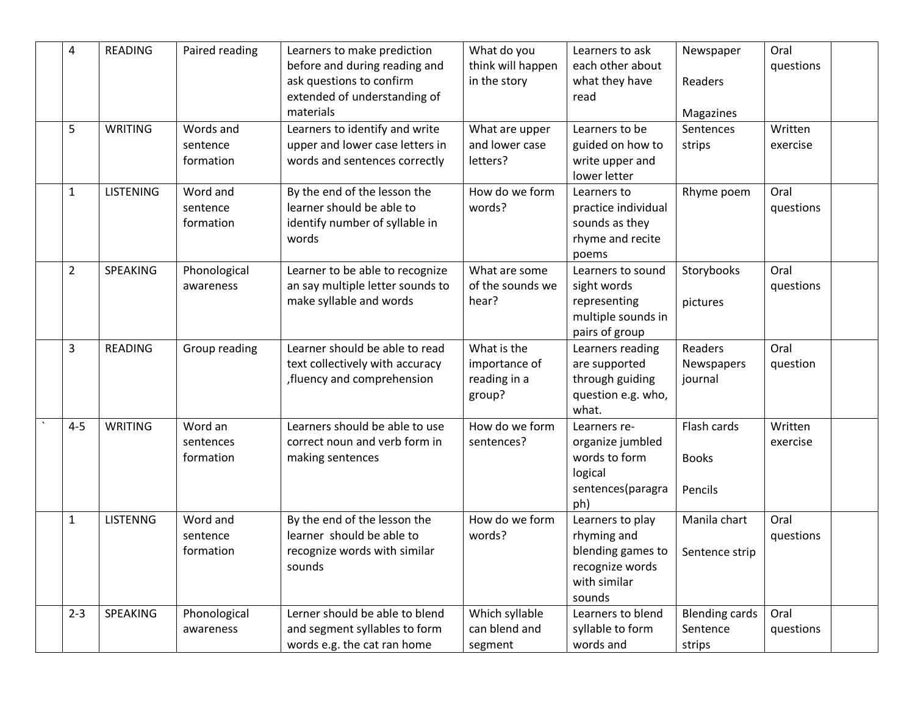| 4              | <b>READING</b>   | Paired reading                     | Learners to make prediction                                                                          | What do you                                            | Learners to ask                                                                                   | Newspaper                                   | Oral                |  |
|----------------|------------------|------------------------------------|------------------------------------------------------------------------------------------------------|--------------------------------------------------------|---------------------------------------------------------------------------------------------------|---------------------------------------------|---------------------|--|
|                |                  |                                    | before and during reading and<br>ask questions to confirm<br>extended of understanding of            | think will happen<br>in the story                      | each other about<br>what they have<br>read                                                        | Readers                                     | questions           |  |
|                |                  |                                    | materials                                                                                            |                                                        |                                                                                                   | Magazines                                   |                     |  |
| 5              | <b>WRITING</b>   | Words and<br>sentence<br>formation | Learners to identify and write<br>upper and lower case letters in<br>words and sentences correctly   | What are upper<br>and lower case<br>letters?           | Learners to be<br>guided on how to<br>write upper and<br>lower letter                             | Sentences<br>strips                         | Written<br>exercise |  |
| $\mathbf{1}$   | <b>LISTENING</b> | Word and<br>sentence<br>formation  | By the end of the lesson the<br>learner should be able to<br>identify number of syllable in<br>words | How do we form<br>words?                               | Learners to<br>practice individual<br>sounds as they<br>rhyme and recite<br>poems                 | Rhyme poem                                  | Oral<br>questions   |  |
| $\overline{2}$ | SPEAKING         | Phonological<br>awareness          | Learner to be able to recognize<br>an say multiple letter sounds to<br>make syllable and words       | What are some<br>of the sounds we<br>hear?             | Learners to sound<br>sight words<br>representing<br>multiple sounds in<br>pairs of group          | Storybooks<br>pictures                      | Oral<br>questions   |  |
| 3              | <b>READING</b>   | Group reading                      | Learner should be able to read<br>text collectively with accuracy<br>fluency and comprehension       | What is the<br>importance of<br>reading in a<br>group? | Learners reading<br>are supported<br>through guiding<br>question e.g. who,<br>what.               | Readers<br>Newspapers<br>journal            | Oral<br>question    |  |
| $4 - 5$        | <b>WRITING</b>   | Word an<br>sentences<br>formation  | Learners should be able to use<br>correct noun and verb form in<br>making sentences                  | How do we form<br>sentences?                           | Learners re-<br>organize jumbled<br>words to form<br>logical<br>sentences(paragra<br>ph)          | Flash cards<br><b>Books</b><br>Pencils      | Written<br>exercise |  |
| $\mathbf{1}$   | <b>LISTENNG</b>  | Word and<br>sentence<br>formation  | By the end of the lesson the<br>learner should be able to<br>recognize words with similar<br>sounds  | How do we form<br>words?                               | Learners to play<br>rhyming and<br>blending games to<br>recognize words<br>with similar<br>sounds | Manila chart<br>Sentence strip              | Oral<br>questions   |  |
| $2 - 3$        | SPEAKING         | Phonological<br>awareness          | Lerner should be able to blend<br>and segment syllables to form<br>words e.g. the cat ran home       | Which syllable<br>can blend and<br>segment             | Learners to blend<br>syllable to form<br>words and                                                | <b>Blending cards</b><br>Sentence<br>strips | Oral<br>questions   |  |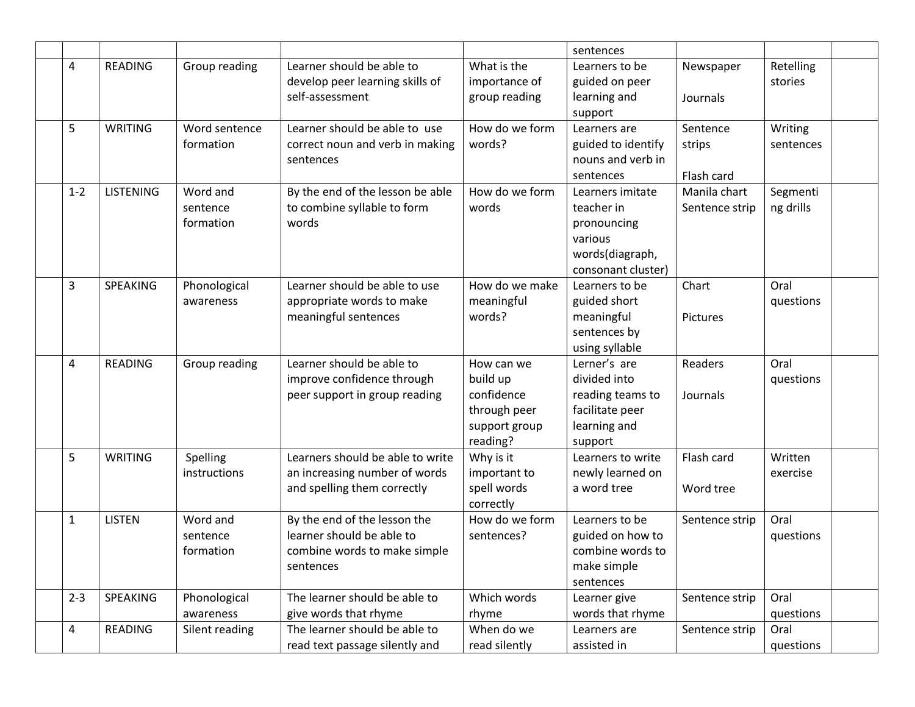|              |                  |                                   |                                                                                                        |                                                                                   | sentences                                                                                         |                                  |                       |
|--------------|------------------|-----------------------------------|--------------------------------------------------------------------------------------------------------|-----------------------------------------------------------------------------------|---------------------------------------------------------------------------------------------------|----------------------------------|-----------------------|
| 4            | <b>READING</b>   | Group reading                     | Learner should be able to<br>develop peer learning skills of<br>self-assessment                        | What is the<br>importance of<br>group reading                                     | Learners to be<br>guided on peer<br>learning and<br>support                                       | Newspaper<br>Journals            | Retelling<br>stories  |
| 5            | <b>WRITING</b>   | Word sentence<br>formation        | Learner should be able to use<br>correct noun and verb in making<br>sentences                          | How do we form<br>words?                                                          | Learners are<br>guided to identify<br>nouns and verb in<br>sentences                              | Sentence<br>strips<br>Flash card | Writing<br>sentences  |
| $1 - 2$      | <b>LISTENING</b> | Word and<br>sentence<br>formation | By the end of the lesson be able<br>to combine syllable to form<br>words                               | How do we form<br>words                                                           | Learners imitate<br>teacher in<br>pronouncing<br>various<br>words(diagraph,<br>consonant cluster) | Manila chart<br>Sentence strip   | Segmenti<br>ng drills |
| 3            | SPEAKING         | Phonological<br>awareness         | Learner should be able to use<br>appropriate words to make<br>meaningful sentences                     | How do we make<br>meaningful<br>words?                                            | Learners to be<br>guided short<br>meaningful<br>sentences by<br>using syllable                    | Chart<br>Pictures                | Oral<br>questions     |
| 4            | <b>READING</b>   | Group reading                     | Learner should be able to<br>improve confidence through<br>peer support in group reading               | How can we<br>build up<br>confidence<br>through peer<br>support group<br>reading? | Lerner's are<br>divided into<br>reading teams to<br>facilitate peer<br>learning and<br>support    | Readers<br>Journals              | Oral<br>questions     |
| 5            | <b>WRITING</b>   | Spelling<br>instructions          | Learners should be able to write<br>an increasing number of words<br>and spelling them correctly       | Why is it<br>important to<br>spell words<br>correctly                             | Learners to write<br>newly learned on<br>a word tree                                              | Flash card<br>Word tree          | Written<br>exercise   |
| $\mathbf{1}$ | <b>LISTEN</b>    | Word and<br>sentence<br>formation | By the end of the lesson the<br>learner should be able to<br>combine words to make simple<br>sentences | How do we form<br>sentences?                                                      | Learners to be<br>guided on how to<br>combine words to<br>make simple<br>sentences                | Sentence strip                   | Oral<br>questions     |
| $2 - 3$      | SPEAKING         | Phonological<br>awareness         | The learner should be able to<br>give words that rhyme                                                 | Which words<br>rhyme                                                              | Learner give<br>words that rhyme                                                                  | Sentence strip                   | Oral<br>questions     |
| 4            | READING          | Silent reading                    | The learner should be able to<br>read text passage silently and                                        | When do we<br>read silently                                                       | Learners are<br>assisted in                                                                       | Sentence strip                   | Oral<br>questions     |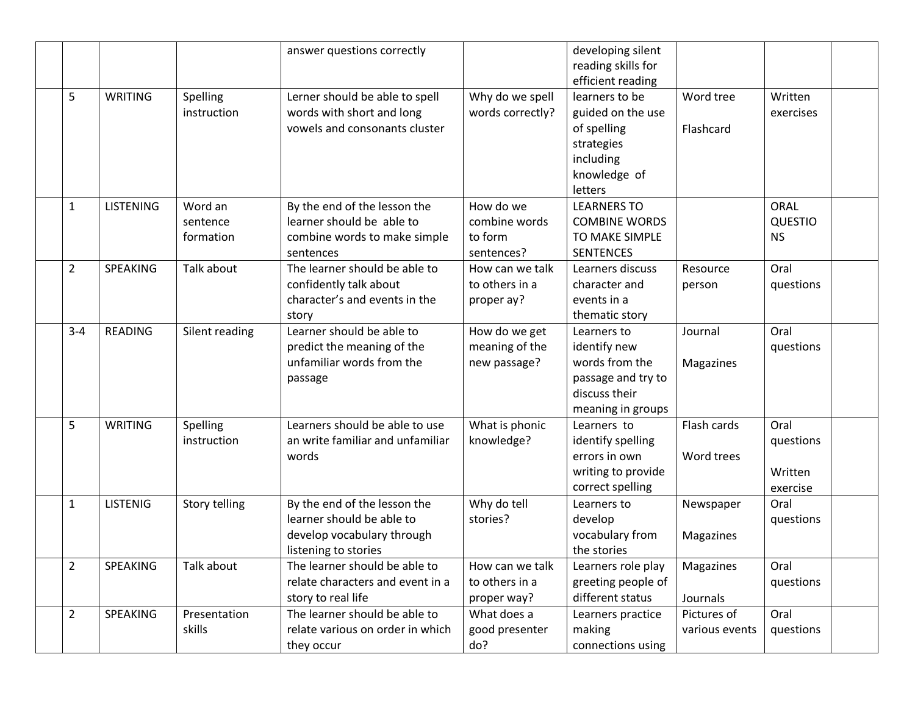|                |                  |                                  | answer questions correctly                                                                                      |                                                     | developing silent<br>reading skills for<br>efficient reading                                              |                               |                                          |  |
|----------------|------------------|----------------------------------|-----------------------------------------------------------------------------------------------------------------|-----------------------------------------------------|-----------------------------------------------------------------------------------------------------------|-------------------------------|------------------------------------------|--|
| 5              | <b>WRITING</b>   | Spelling<br>instruction          | Lerner should be able to spell<br>words with short and long<br>vowels and consonants cluster                    | Why do we spell<br>words correctly?                 | learners to be<br>guided on the use<br>of spelling<br>strategies<br>including<br>knowledge of<br>letters  | Word tree<br>Flashcard        | Written<br>exercises                     |  |
| 1              | <b>LISTENING</b> | Word an<br>sentence<br>formation | By the end of the lesson the<br>learner should be able to<br>combine words to make simple<br>sentences          | How do we<br>combine words<br>to form<br>sentences? | <b>LEARNERS TO</b><br><b>COMBINE WORDS</b><br>TO MAKE SIMPLE<br><b>SENTENCES</b>                          |                               | ORAL<br><b>QUESTIO</b><br><b>NS</b>      |  |
| $\overline{2}$ | SPEAKING         | Talk about                       | The learner should be able to<br>confidently talk about<br>character's and events in the<br>story               | How can we talk<br>to others in a<br>proper ay?     | Learners discuss<br>character and<br>events in a<br>thematic story                                        | Resource<br>person            | Oral<br>questions                        |  |
| $3 - 4$        | <b>READING</b>   | Silent reading                   | Learner should be able to<br>predict the meaning of the<br>unfamiliar words from the<br>passage                 | How do we get<br>meaning of the<br>new passage?     | Learners to<br>identify new<br>words from the<br>passage and try to<br>discuss their<br>meaning in groups | Journal<br>Magazines          | Oral<br>questions                        |  |
| 5              | <b>WRITING</b>   | Spelling<br>instruction          | Learners should be able to use<br>an write familiar and unfamiliar<br>words                                     | What is phonic<br>knowledge?                        | Learners to<br>identify spelling<br>errors in own<br>writing to provide<br>correct spelling               | Flash cards<br>Word trees     | Oral<br>questions<br>Written<br>exercise |  |
| $\mathbf{1}$   | <b>LISTENIG</b>  | Story telling                    | By the end of the lesson the<br>learner should be able to<br>develop vocabulary through<br>listening to stories | Why do tell<br>stories?                             | Learners to<br>develop<br>vocabulary from<br>the stories                                                  | Newspaper<br>Magazines        | Oral<br>questions                        |  |
| 2              | SPEAKING         | Talk about                       | The learner should be able to<br>relate characters and event in a<br>story to real life                         | How can we talk<br>to others in a<br>proper way?    | Learners role play<br>greeting people of<br>different status                                              | Magazines<br>Journals         | Oral<br>questions                        |  |
| $\overline{2}$ | SPEAKING         | Presentation<br>skills           | The learner should be able to<br>relate various on order in which<br>they occur                                 | What does a<br>good presenter<br>do?                | Learners practice<br>making<br>connections using                                                          | Pictures of<br>various events | Oral<br>questions                        |  |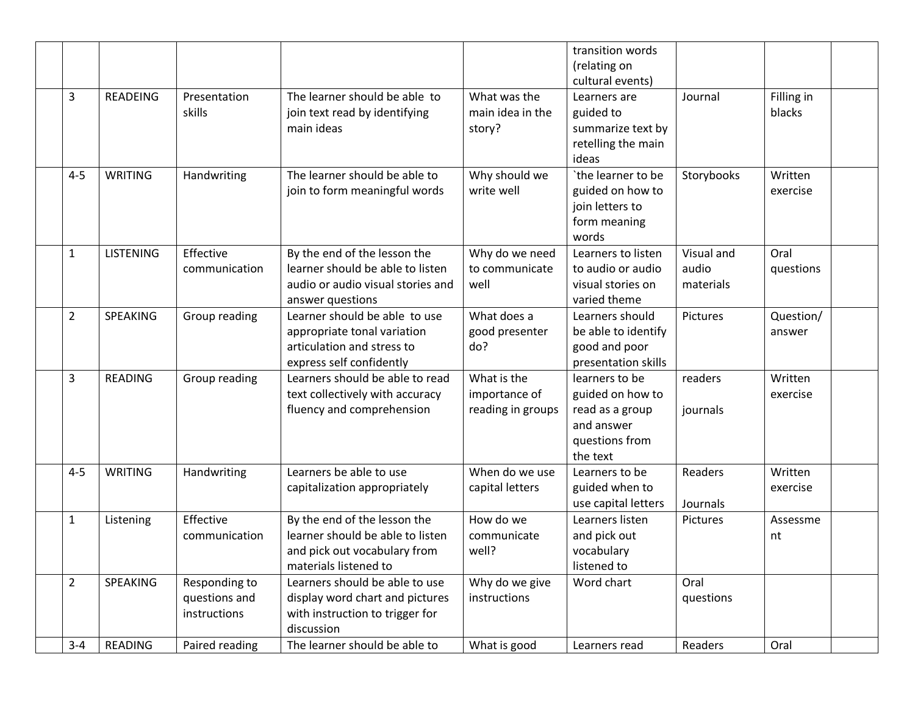|                |                  |                |                                   |                   | transition words    |            |            |  |
|----------------|------------------|----------------|-----------------------------------|-------------------|---------------------|------------|------------|--|
|                |                  |                |                                   |                   | (relating on        |            |            |  |
|                |                  |                |                                   |                   | cultural events)    |            |            |  |
| 3              | <b>READEING</b>  | Presentation   | The learner should be able to     | What was the      | Learners are        | Journal    | Filling in |  |
|                |                  | skills         | join text read by identifying     | main idea in the  | guided to           |            | blacks     |  |
|                |                  |                | main ideas                        | story?            | summarize text by   |            |            |  |
|                |                  |                |                                   |                   | retelling the main  |            |            |  |
|                |                  |                |                                   |                   | ideas               |            |            |  |
| $4 - 5$        | WRITING          | Handwriting    | The learner should be able to     | Why should we     | `the learner to be  | Storybooks | Written    |  |
|                |                  |                | join to form meaningful words     | write well        | guided on how to    |            | exercise   |  |
|                |                  |                |                                   |                   | join letters to     |            |            |  |
|                |                  |                |                                   |                   | form meaning        |            |            |  |
|                |                  |                |                                   |                   | words               |            |            |  |
| 1              | <b>LISTENING</b> | Effective      | By the end of the lesson the      | Why do we need    | Learners to listen  | Visual and | Oral       |  |
|                |                  | communication  | learner should be able to listen  | to communicate    | to audio or audio   | audio      | questions  |  |
|                |                  |                | audio or audio visual stories and | well              | visual stories on   | materials  |            |  |
|                |                  |                | answer questions                  |                   | varied theme        |            |            |  |
| $\overline{2}$ | <b>SPEAKING</b>  | Group reading  | Learner should be able to use     | What does a       | Learners should     | Pictures   | Question/  |  |
|                |                  |                | appropriate tonal variation       | good presenter    | be able to identify |            | answer     |  |
|                |                  |                | articulation and stress to        | do?               | good and poor       |            |            |  |
|                |                  |                | express self confidently          |                   | presentation skills |            |            |  |
| 3              | <b>READING</b>   | Group reading  | Learners should be able to read   | What is the       | learners to be      | readers    | Written    |  |
|                |                  |                | text collectively with accuracy   | importance of     | guided on how to    |            | exercise   |  |
|                |                  |                | fluency and comprehension         | reading in groups | read as a group     | journals   |            |  |
|                |                  |                |                                   |                   | and answer          |            |            |  |
|                |                  |                |                                   |                   | questions from      |            |            |  |
|                |                  |                |                                   |                   | the text            |            |            |  |
| $4 - 5$        | <b>WRITING</b>   | Handwriting    | Learners be able to use           | When do we use    | Learners to be      | Readers    | Written    |  |
|                |                  |                | capitalization appropriately      | capital letters   | guided when to      |            | exercise   |  |
|                |                  |                |                                   |                   | use capital letters | Journals   |            |  |
| 1              | Listening        | Effective      | By the end of the lesson the      | How do we         | Learners listen     | Pictures   | Assessme   |  |
|                |                  | communication  | learner should be able to listen  | communicate       | and pick out        |            | nt         |  |
|                |                  |                | and pick out vocabulary from      | well?             | vocabulary          |            |            |  |
|                |                  |                | materials listened to             |                   | listened to         |            |            |  |
| $\overline{2}$ | SPEAKING         | Responding to  | Learners should be able to use    | Why do we give    | Word chart          | Oral       |            |  |
|                |                  | questions and  | display word chart and pictures   | instructions      |                     | questions  |            |  |
|                |                  | instructions   | with instruction to trigger for   |                   |                     |            |            |  |
|                |                  |                | discussion                        |                   |                     |            |            |  |
| $3 - 4$        | READING          | Paired reading | The learner should be able to     | What is good      | Learners read       | Readers    | Oral       |  |